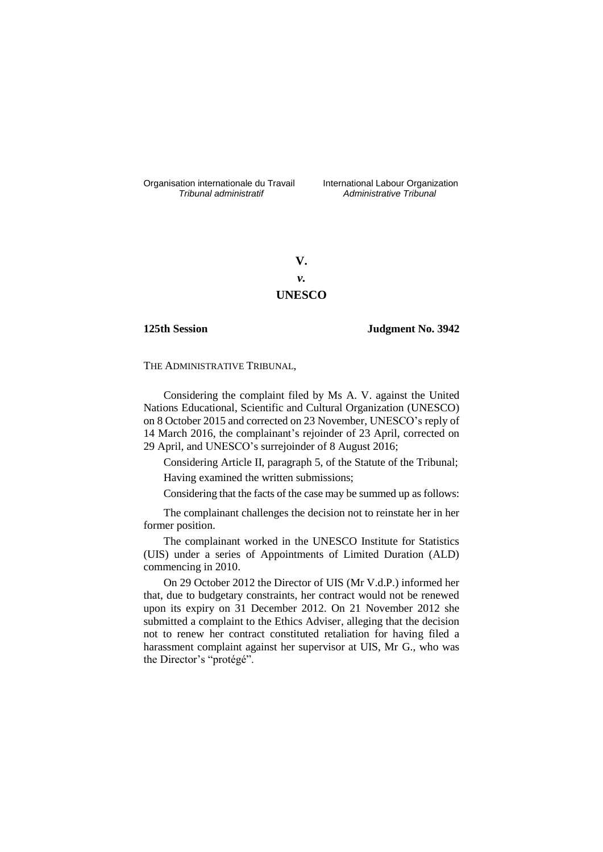Organisation internationale du Travail International Labour Organization<br>*Tribunal administratif Administrative Tribunal* 

*Tribunal administratif Administrative Tribunal*

**V.** *v.* **UNESCO**

**125th Session Judgment No. 3942**

THE ADMINISTRATIVE TRIBUNAL,

Considering the complaint filed by Ms A. V. against the United Nations Educational, Scientific and Cultural Organization (UNESCO) on 8 October 2015 and corrected on 23 November, UNESCO's reply of 14 March 2016, the complainant's rejoinder of 23 April, corrected on 29 April, and UNESCO's surrejoinder of 8 August 2016;

Considering Article II, paragraph 5, of the Statute of the Tribunal; Having examined the written submissions;

Considering that the facts of the case may be summed up as follows:

The complainant challenges the decision not to reinstate her in her former position.

The complainant worked in the UNESCO Institute for Statistics (UIS) under a series of Appointments of Limited Duration (ALD) commencing in 2010.

On 29 October 2012 the Director of UIS (Mr V.d.P.) informed her that, due to budgetary constraints, her contract would not be renewed upon its expiry on 31 December 2012. On 21 November 2012 she submitted a complaint to the Ethics Adviser, alleging that the decision not to renew her contract constituted retaliation for having filed a harassment complaint against her supervisor at UIS, Mr G., who was the Director's "protégé".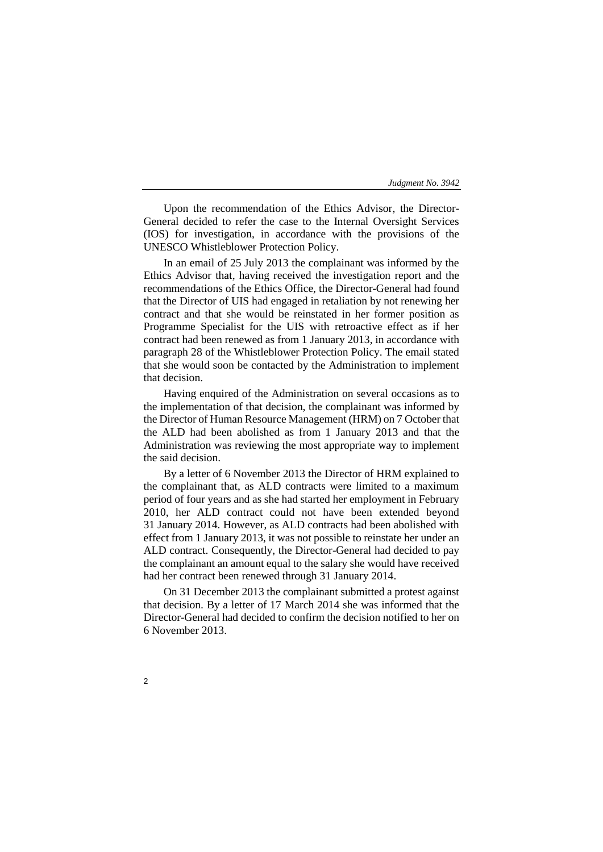Upon the recommendation of the Ethics Advisor, the Director-General decided to refer the case to the Internal Oversight Services (IOS) for investigation, in accordance with the provisions of the UNESCO Whistleblower Protection Policy.

In an email of 25 July 2013 the complainant was informed by the Ethics Advisor that, having received the investigation report and the recommendations of the Ethics Office, the Director-General had found that the Director of UIS had engaged in retaliation by not renewing her contract and that she would be reinstated in her former position as Programme Specialist for the UIS with retroactive effect as if her contract had been renewed as from 1 January 2013, in accordance with paragraph 28 of the Whistleblower Protection Policy. The email stated that she would soon be contacted by the Administration to implement that decision.

Having enquired of the Administration on several occasions as to the implementation of that decision, the complainant was informed by the Director of Human Resource Management (HRM) on 7 October that the ALD had been abolished as from 1 January 2013 and that the Administration was reviewing the most appropriate way to implement the said decision.

By a letter of 6 November 2013 the Director of HRM explained to the complainant that, as ALD contracts were limited to a maximum period of four years and as she had started her employment in February 2010, her ALD contract could not have been extended beyond 31 January 2014. However, as ALD contracts had been abolished with effect from 1 January 2013, it was not possible to reinstate her under an ALD contract. Consequently, the Director-General had decided to pay the complainant an amount equal to the salary she would have received had her contract been renewed through 31 January 2014.

On 31 December 2013 the complainant submitted a protest against that decision. By a letter of 17 March 2014 she was informed that the Director-General had decided to confirm the decision notified to her on 6 November 2013.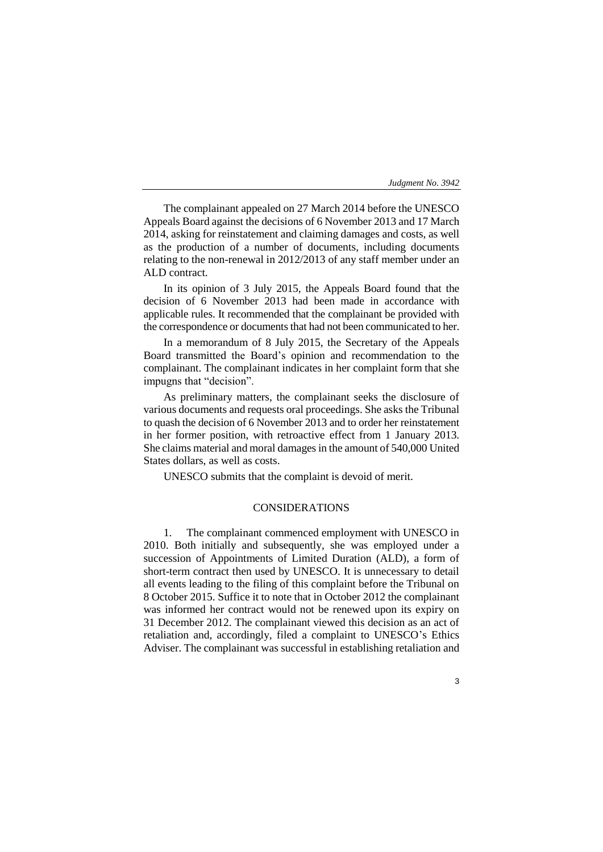The complainant appealed on 27 March 2014 before the UNESCO Appeals Board against the decisions of 6 November 2013 and 17 March 2014, asking for reinstatement and claiming damages and costs, as well as the production of a number of documents, including documents relating to the non-renewal in 2012/2013 of any staff member under an ALD contract.

In its opinion of 3 July 2015, the Appeals Board found that the decision of 6 November 2013 had been made in accordance with applicable rules. It recommended that the complainant be provided with the correspondence or documents that had not been communicated to her.

In a memorandum of 8 July 2015, the Secretary of the Appeals Board transmitted the Board's opinion and recommendation to the complainant. The complainant indicates in her complaint form that she impugns that "decision".

As preliminary matters, the complainant seeks the disclosure of various documents and requests oral proceedings. She asks the Tribunal to quash the decision of 6 November 2013 and to order her reinstatement in her former position, with retroactive effect from 1 January 2013. She claims material and moral damages in the amount of 540,000 United States dollars, as well as costs.

UNESCO submits that the complaint is devoid of merit.

# CONSIDERATIONS

1. The complainant commenced employment with UNESCO in 2010. Both initially and subsequently, she was employed under a succession of Appointments of Limited Duration (ALD), a form of short-term contract then used by UNESCO. It is unnecessary to detail all events leading to the filing of this complaint before the Tribunal on 8 October 2015. Suffice it to note that in October 2012 the complainant was informed her contract would not be renewed upon its expiry on 31 December 2012. The complainant viewed this decision as an act of retaliation and, accordingly, filed a complaint to UNESCO's Ethics Adviser. The complainant was successful in establishing retaliation and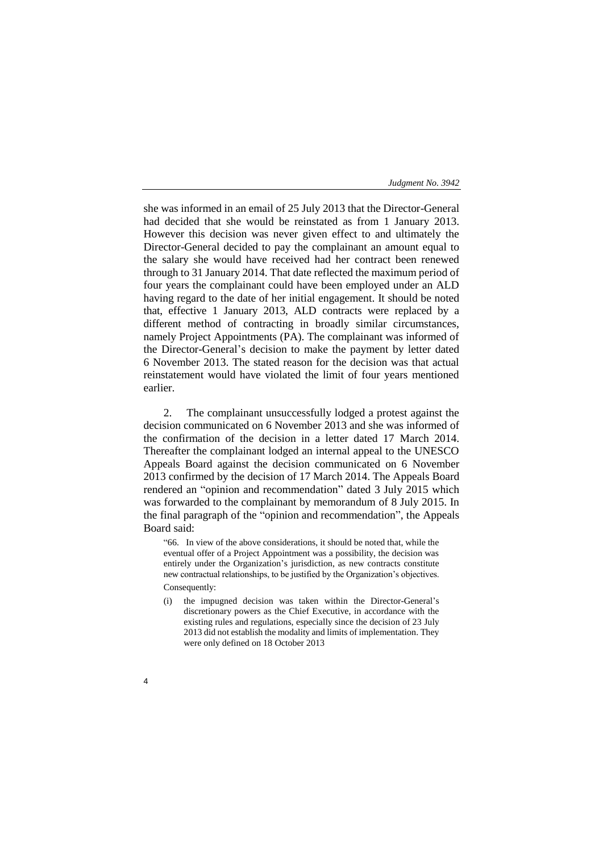she was informed in an email of 25 July 2013 that the Director-General had decided that she would be reinstated as from 1 January 2013. However this decision was never given effect to and ultimately the Director-General decided to pay the complainant an amount equal to the salary she would have received had her contract been renewed through to 31 January 2014. That date reflected the maximum period of four years the complainant could have been employed under an ALD having regard to the date of her initial engagement. It should be noted that, effective 1 January 2013, ALD contracts were replaced by a different method of contracting in broadly similar circumstances, namely Project Appointments (PA). The complainant was informed of the Director-General's decision to make the payment by letter dated 6 November 2013. The stated reason for the decision was that actual reinstatement would have violated the limit of four years mentioned earlier.

2. The complainant unsuccessfully lodged a protest against the decision communicated on 6 November 2013 and she was informed of the confirmation of the decision in a letter dated 17 March 2014. Thereafter the complainant lodged an internal appeal to the UNESCO Appeals Board against the decision communicated on 6 November 2013 confirmed by the decision of 17 March 2014. The Appeals Board rendered an "opinion and recommendation" dated 3 July 2015 which was forwarded to the complainant by memorandum of 8 July 2015. In the final paragraph of the "opinion and recommendation", the Appeals Board said:

"66. In view of the above considerations, it should be noted that, while the eventual offer of a Project Appointment was a possibility, the decision was entirely under the Organization's jurisdiction, as new contracts constitute new contractual relationships, to be justified by the Organization's objectives. Consequently:

- (i) the impugned decision was taken within the Director-General's discretionary powers as the Chief Executive, in accordance with the existing rules and regulations, especially since the decision of 23 July 2013 did not establish the modality and limits of implementation. They were only defined on 18 October 2013
- 4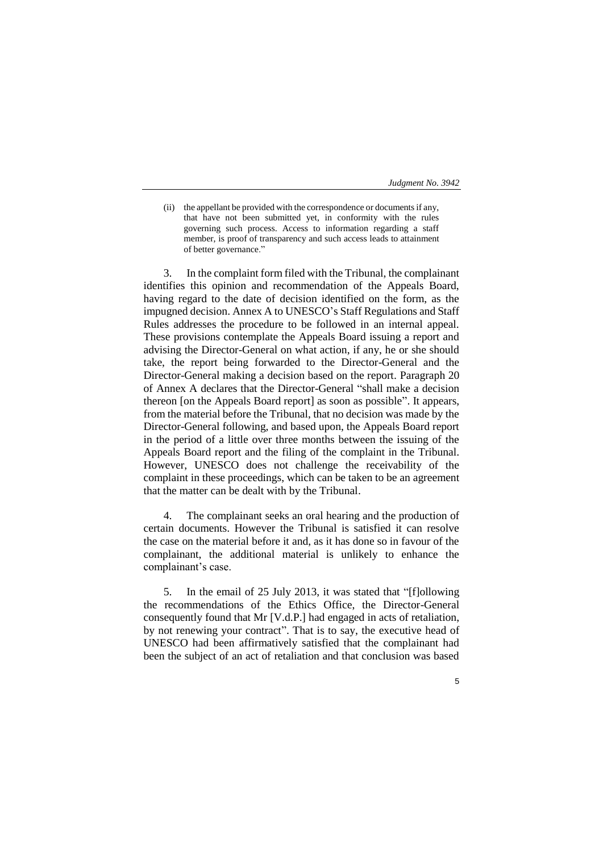(ii) the appellant be provided with the correspondence or documents if any, that have not been submitted yet, in conformity with the rules governing such process. Access to information regarding a staff member, is proof of transparency and such access leads to attainment of better governance."

3. In the complaint form filed with the Tribunal, the complainant identifies this opinion and recommendation of the Appeals Board, having regard to the date of decision identified on the form, as the impugned decision. Annex A to UNESCO's Staff Regulations and Staff Rules addresses the procedure to be followed in an internal appeal. These provisions contemplate the Appeals Board issuing a report and advising the Director-General on what action, if any, he or she should take, the report being forwarded to the Director-General and the Director-General making a decision based on the report. Paragraph 20 of Annex A declares that the Director-General "shall make a decision thereon [on the Appeals Board report] as soon as possible". It appears, from the material before the Tribunal, that no decision was made by the Director-General following, and based upon, the Appeals Board report in the period of a little over three months between the issuing of the Appeals Board report and the filing of the complaint in the Tribunal. However, UNESCO does not challenge the receivability of the complaint in these proceedings, which can be taken to be an agreement that the matter can be dealt with by the Tribunal.

4. The complainant seeks an oral hearing and the production of certain documents. However the Tribunal is satisfied it can resolve the case on the material before it and, as it has done so in favour of the complainant, the additional material is unlikely to enhance the complainant's case.

5. In the email of 25 July 2013, it was stated that "[f]ollowing the recommendations of the Ethics Office, the Director-General consequently found that Mr [V.d.P.] had engaged in acts of retaliation, by not renewing your contract". That is to say, the executive head of UNESCO had been affirmatively satisfied that the complainant had been the subject of an act of retaliation and that conclusion was based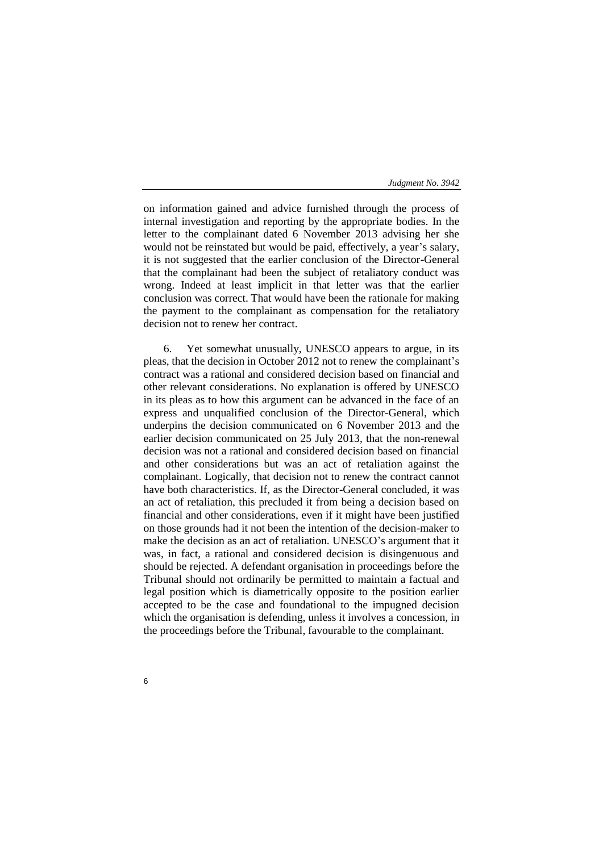on information gained and advice furnished through the process of internal investigation and reporting by the appropriate bodies. In the letter to the complainant dated 6 November 2013 advising her she would not be reinstated but would be paid, effectively, a year's salary, it is not suggested that the earlier conclusion of the Director-General that the complainant had been the subject of retaliatory conduct was wrong. Indeed at least implicit in that letter was that the earlier conclusion was correct. That would have been the rationale for making the payment to the complainant as compensation for the retaliatory decision not to renew her contract.

6. Yet somewhat unusually, UNESCO appears to argue, in its pleas, that the decision in October 2012 not to renew the complainant's contract was a rational and considered decision based on financial and other relevant considerations. No explanation is offered by UNESCO in its pleas as to how this argument can be advanced in the face of an express and unqualified conclusion of the Director-General, which underpins the decision communicated on 6 November 2013 and the earlier decision communicated on 25 July 2013, that the non-renewal decision was not a rational and considered decision based on financial and other considerations but was an act of retaliation against the complainant. Logically, that decision not to renew the contract cannot have both characteristics. If, as the Director-General concluded, it was an act of retaliation, this precluded it from being a decision based on financial and other considerations, even if it might have been justified on those grounds had it not been the intention of the decision-maker to make the decision as an act of retaliation. UNESCO's argument that it was, in fact, a rational and considered decision is disingenuous and should be rejected. A defendant organisation in proceedings before the Tribunal should not ordinarily be permitted to maintain a factual and legal position which is diametrically opposite to the position earlier accepted to be the case and foundational to the impugned decision which the organisation is defending, unless it involves a concession, in the proceedings before the Tribunal, favourable to the complainant.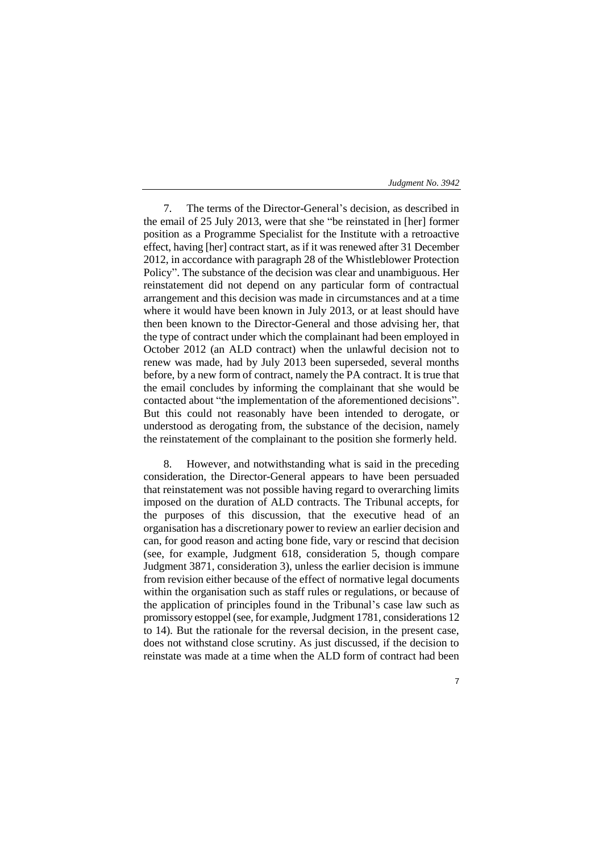7. The terms of the Director-General's decision, as described in the email of 25 July 2013, were that she "be reinstated in [her] former position as a Programme Specialist for the Institute with a retroactive effect, having [her] contract start, as if it was renewed after 31 December 2012, in accordance with paragraph 28 of the Whistleblower Protection Policy". The substance of the decision was clear and unambiguous. Her reinstatement did not depend on any particular form of contractual arrangement and this decision was made in circumstances and at a time where it would have been known in July 2013, or at least should have then been known to the Director-General and those advising her, that the type of contract under which the complainant had been employed in October 2012 (an ALD contract) when the unlawful decision not to renew was made, had by July 2013 been superseded, several months before, by a new form of contract, namely the PA contract. It is true that the email concludes by informing the complainant that she would be contacted about "the implementation of the aforementioned decisions". But this could not reasonably have been intended to derogate, or understood as derogating from, the substance of the decision, namely the reinstatement of the complainant to the position she formerly held.

8. However, and notwithstanding what is said in the preceding consideration, the Director-General appears to have been persuaded that reinstatement was not possible having regard to overarching limits imposed on the duration of ALD contracts. The Tribunal accepts, for the purposes of this discussion, that the executive head of an organisation has a discretionary power to review an earlier decision and can, for good reason and acting bone fide, vary or rescind that decision (see, for example, Judgment 618, consideration 5, though compare Judgment 3871, consideration 3), unless the earlier decision is immune from revision either because of the effect of normative legal documents within the organisation such as staff rules or regulations, or because of the application of principles found in the Tribunal's case law such as promissory estoppel (see, for example, Judgment 1781, considerations 12 to 14). But the rationale for the reversal decision, in the present case, does not withstand close scrutiny. As just discussed, if the decision to reinstate was made at a time when the ALD form of contract had been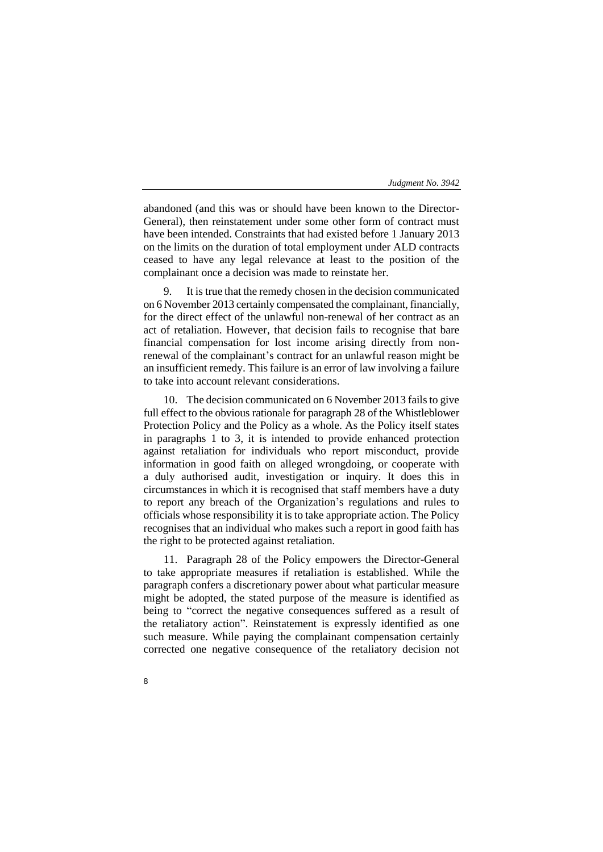abandoned (and this was or should have been known to the Director-General), then reinstatement under some other form of contract must have been intended. Constraints that had existed before 1 January 2013 on the limits on the duration of total employment under ALD contracts ceased to have any legal relevance at least to the position of the complainant once a decision was made to reinstate her.

It is true that the remedy chosen in the decision communicated on 6 November 2013 certainly compensated the complainant, financially, for the direct effect of the unlawful non-renewal of her contract as an act of retaliation. However, that decision fails to recognise that bare financial compensation for lost income arising directly from nonrenewal of the complainant's contract for an unlawful reason might be an insufficient remedy. This failure is an error of law involving a failure to take into account relevant considerations.

10. The decision communicated on 6 November 2013 fails to give full effect to the obvious rationale for paragraph 28 of the Whistleblower Protection Policy and the Policy as a whole. As the Policy itself states in paragraphs 1 to 3, it is intended to provide enhanced protection against retaliation for individuals who report misconduct, provide information in good faith on alleged wrongdoing, or cooperate with a duly authorised audit, investigation or inquiry. It does this in circumstances in which it is recognised that staff members have a duty to report any breach of the Organization's regulations and rules to officials whose responsibility it is to take appropriate action. The Policy recognises that an individual who makes such a report in good faith has the right to be protected against retaliation.

11. Paragraph 28 of the Policy empowers the Director-General to take appropriate measures if retaliation is established. While the paragraph confers a discretionary power about what particular measure might be adopted, the stated purpose of the measure is identified as being to "correct the negative consequences suffered as a result of the retaliatory action". Reinstatement is expressly identified as one such measure. While paying the complainant compensation certainly corrected one negative consequence of the retaliatory decision not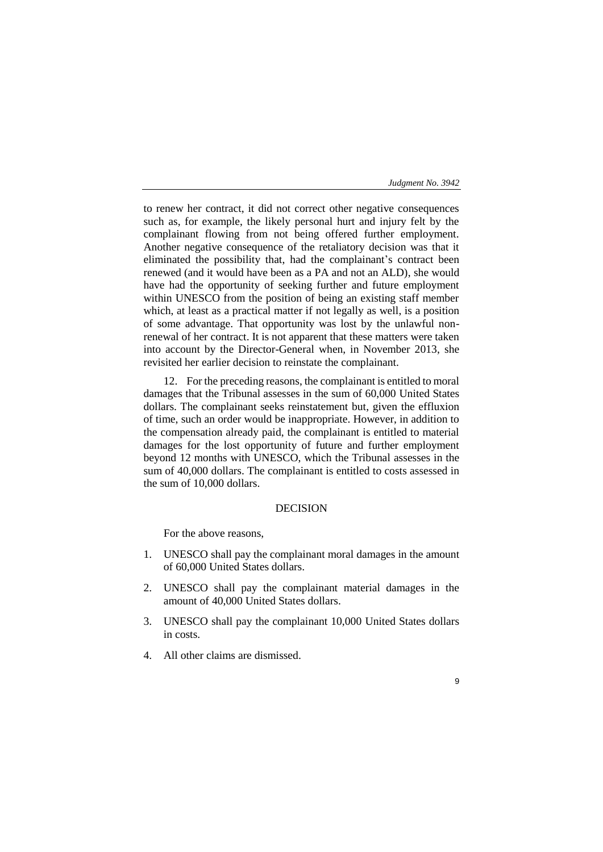9

to renew her contract, it did not correct other negative consequences such as, for example, the likely personal hurt and injury felt by the complainant flowing from not being offered further employment. Another negative consequence of the retaliatory decision was that it eliminated the possibility that, had the complainant's contract been renewed (and it would have been as a PA and not an ALD), she would have had the opportunity of seeking further and future employment within UNESCO from the position of being an existing staff member which, at least as a practical matter if not legally as well, is a position of some advantage. That opportunity was lost by the unlawful nonrenewal of her contract. It is not apparent that these matters were taken into account by the Director-General when, in November 2013, she revisited her earlier decision to reinstate the complainant.

12. For the preceding reasons, the complainant is entitled to moral damages that the Tribunal assesses in the sum of 60,000 United States dollars. The complainant seeks reinstatement but, given the effluxion of time, such an order would be inappropriate. However, in addition to the compensation already paid, the complainant is entitled to material damages for the lost opportunity of future and further employment beyond 12 months with UNESCO, which the Tribunal assesses in the sum of 40,000 dollars. The complainant is entitled to costs assessed in the sum of 10,000 dollars.

# DECISION

For the above reasons,

- 1. UNESCO shall pay the complainant moral damages in the amount of 60,000 United States dollars.
- 2. UNESCO shall pay the complainant material damages in the amount of 40,000 United States dollars.
- 3. UNESCO shall pay the complainant 10,000 United States dollars in costs.
- 4. All other claims are dismissed.